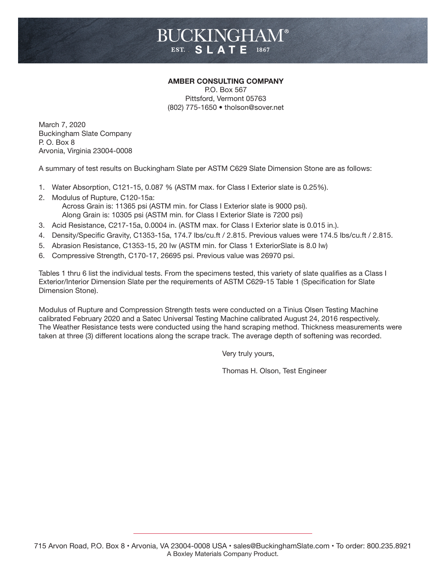# **BUCKINGHAM®** EST. SLATE 1867

#### AMBER CONSULTING COMPANY

P.O. Box 567 Pittsford, Vermont 05763 (802) 775-1650 • tholson@sover.net

March 7, 2020 Buckingham Slate Company P. O. Box 8 Arvonia, Virginia 23004-0008

A summary of test results on Buckingham Slate per ASTM C629 Slate Dimension Stone are as follows:

- 1. Water Absorption, C121-15, 0.087 % (ASTM max. for Class I Exterior slate is 0.25%).
- 2. Modulus of Rupture, C120-15a: Across Grain is: 11365 psi (ASTM min. for Class I Exterior slate is 9000 psi). Along Grain is: 10305 psi (ASTM min. for Class I Exterior Slate is 7200 psi)
- 3. Acid Resistance, C217-15a, 0.0004 in. (ASTM max. for Class I Exterior slate is 0.015 in.).
- 4. Density/Specific Gravity, C1353-15a, 174.7 lbs/cu.ft / 2.815. Previous values were 174.5 lbs/cu.ft / 2.815.
- 5. Abrasion Resistance, C1353-15, 20 Iw (ASTM min. for Class 1 ExteriorSlate is 8.0 Iw)
- 6. Compressive Strength, C170-17, 26695 psi. Previous value was 26970 psi.

Tables 1 thru 6 list the individual tests. From the specimens tested, this variety of slate qualifies as a Class I Exterior/Interior Dimension Slate per the requirements of ASTM C629-15 Table 1 (Specification for Slate Dimension Stone).

Modulus of Rupture and Compression Strength tests were conducted on a Tinius Olsen Testing Machine calibrated February 2020 and a Satec Universal Testing Machine calibrated August 24, 2016 respectively. The Weather Resistance tests were conducted using the hand scraping method. Thickness measurements were taken at three (3) different locations along the scrape track. The average depth of softening was recorded.

Very truly yours,

Thomas H. Olson, Test Engineer